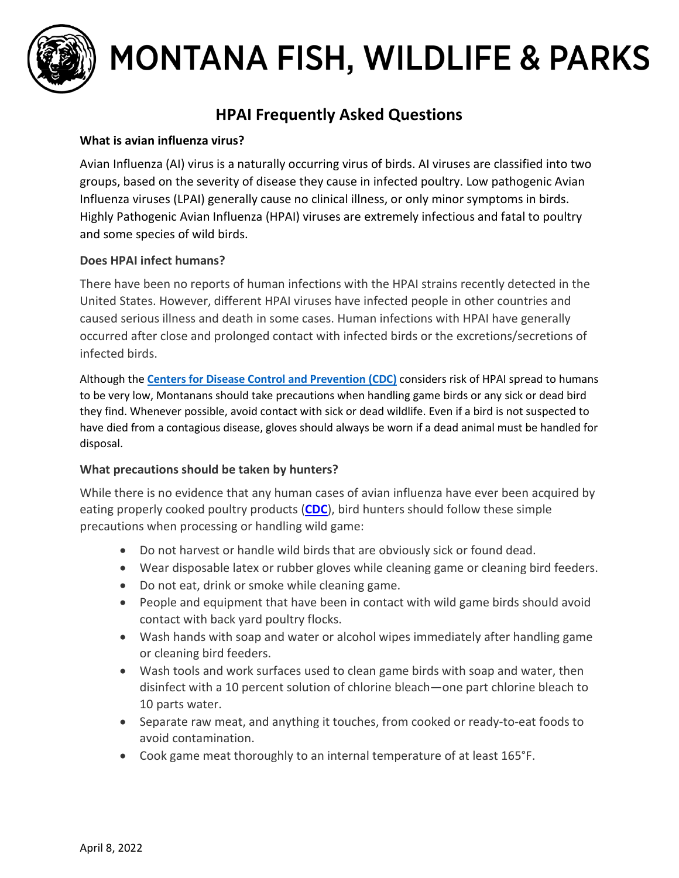

# MONTANA FISH, WILDLIFE & PARKS

# **HPAI Frequently Asked Questions**

### **What is avian influenza virus?**

Avian Influenza (AI) virus is a naturally occurring virus of birds. AI viruses are classified into two groups, based on the severity of disease they cause in infected poultry. Low pathogenic Avian Influenza viruses (LPAI) generally cause no clinical illness, or only minor symptoms in birds. Highly Pathogenic Avian Influenza (HPAI) viruses are extremely infectious and fatal to poultry and some species of wild birds.

#### **Does HPAI infect humans?**

There have been no reports of human infections with the HPAI strains recently detected in the United States. However, different HPAI viruses have infected people in other countries and caused serious illness and death in some cases. Human infections with HPAI have generally occurred after close and prolonged contact with infected birds or the excretions/secretions of infected birds.

Although the **[Centers for Disease Control and Prevention](http://www.cdc.gov/) (CDC)** considers risk of HPAI spread to humans to be very low, Montanans should take precautions when handling game birds or any sick or dead bird they find. Whenever possible, avoid contact with sick or dead wildlife. Even if a bird is not suspected to have died from a contagious disease, gloves should always be worn if a dead animal must be handled for disposal.

## **What precautions should be taken by hunters?**

While there is no evidence that any human cases of avian influenza have ever been acquired by eating properly cooked poultry products (**[CDC](http://www.cdc.gov/flu/avianflu/h5/index.htm)**), bird hunters should follow these simple precautions when processing or handling wild game:

- Do not harvest or handle wild birds that are obviously sick or found dead.
- Wear disposable latex or rubber gloves while cleaning game or cleaning bird feeders.
- Do not eat, drink or smoke while cleaning game.
- People and equipment that have been in contact with wild game birds should avoid contact with back yard poultry flocks.
- Wash hands with soap and water or alcohol wipes immediately after handling game or cleaning bird feeders.
- Wash tools and work surfaces used to clean game birds with soap and water, then disinfect with a 10 percent solution of chlorine bleach—one part chlorine bleach to 10 parts water.
- Separate raw meat, and anything it touches, from cooked or ready-to-eat foods to avoid contamination.
- Cook game meat thoroughly to an internal temperature of at least 165°F.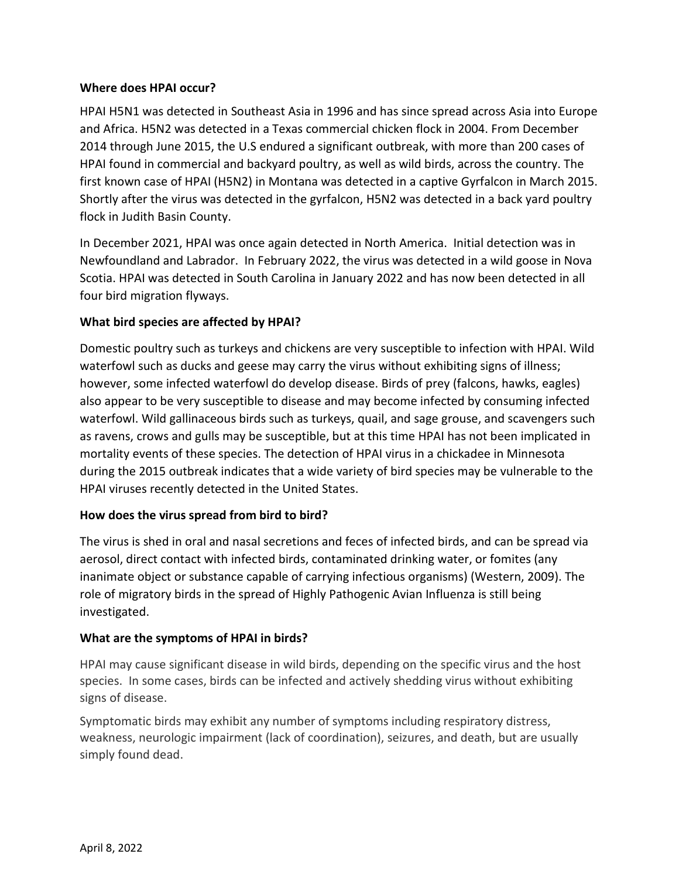#### **Where does HPAI occur?**

HPAI H5N1 was detected in Southeast Asia in 1996 and has since spread across Asia into Europe and Africa. H5N2 was detected in a Texas commercial chicken flock in 2004. From December 2014 through June 2015, the U.S endured a significant outbreak, with more than 200 cases of HPAI found in commercial and backyard poultry, as well as wild birds, across the country. The first known case of HPAI (H5N2) in Montana was detected in a captive Gyrfalcon in March 2015. Shortly after the virus was detected in the gyrfalcon, H5N2 was detected in a back yard poultry flock in Judith Basin County.

In December 2021, HPAI was once again detected in North America. Initial detection was in Newfoundland and Labrador. In February 2022, the virus was detected in a wild goose in Nova Scotia. HPAI was detected in South Carolina in January 2022 and has now been detected in all four bird migration flyways.

#### **What bird species are affected by HPAI?**

Domestic poultry such as turkeys and chickens are very susceptible to infection with HPAI. Wild waterfowl such as ducks and geese may carry the virus without exhibiting signs of illness; however, some infected waterfowl do develop disease. Birds of prey (falcons, hawks, eagles) also appear to be very susceptible to disease and may become infected by consuming infected waterfowl. Wild gallinaceous birds such as turkeys, quail, and sage grouse, and scavengers such as ravens, crows and gulls may be susceptible, but at this time HPAI has not been implicated in mortality events of these species. The detection of HPAI virus in a chickadee in Minnesota during the 2015 outbreak indicates that a wide variety of bird species may be vulnerable to the HPAI viruses recently detected in the United States.

#### **How does the virus spread from bird to bird?**

The virus is shed in oral and nasal secretions and feces of infected birds, and can be spread via aerosol, direct contact with infected birds, contaminated drinking water, or fomites (any inanimate object or substance capable of carrying infectious organisms) (Western, 2009). The role of migratory birds in the spread of Highly Pathogenic Avian Influenza is still being investigated.

#### **What are the symptoms of HPAI in birds?**

HPAI may cause significant disease in wild birds, depending on the specific virus and the host species. In some cases, birds can be infected and actively shedding virus without exhibiting signs of disease.

Symptomatic birds may exhibit any number of symptoms including respiratory distress, weakness, neurologic impairment (lack of coordination), seizures, and death, but are usually simply found dead.